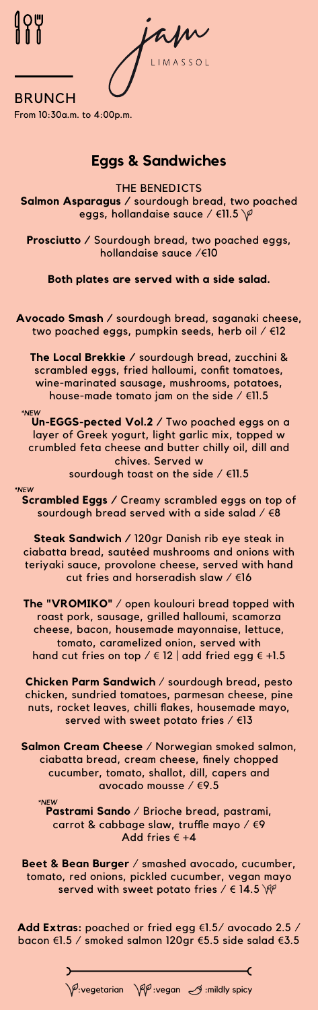L I M A S S O L

**BRUNCH** From 10:30a.m. to 4:00p.m.

### **Eggs & Sandwiches**

THE BENEDICTS **Salmon Asparagus /** sourdough bread, two poached eggs, hollandaise sauce / €11.5 \<sup>p</sup>

**Prosciutto /** Sourdough bread, two poached eggs, hollandaise sauce /€10

**Both plates are served with a side salad.**

**Avocado Smash /** sourdough bread, saganaki cheese, two poached eggs, pumpkin seeds, herb oil / €12

**The Local Brekkie /** sourdough bread, zucchini & scrambled eggs, fried halloumi, confit tomatoes, wine-marinated sausage, mushrooms, potatoes, house-made tomato jam on the side / €11.5

\*NEW **Un-EGGS-pected Vol.2 /** Two poached eggs on a layer of Greek yogurt, light garlic mix, topped w crumbled feta cheese and butter chilly oil, dill and chives. Served w

sourdough toast on the side  $/$  €11.5

#### \*NEW

**Scrambled Eggs /** Creamy scrambled eggs on top of sourdough bread served with a side salad  $/$   $68$ 

**Steak Sandwich /** 120gr Danish rib eye steak in ciabatta bread, sautéed mushrooms and onions with teriyaki sauce, provolone cheese, served with hand cut fries and horseradish slaw / €16

**The "VROMIKO"** / open koulouri bread topped with roast pork, sausage, grilled halloumi, scamorza cheese, bacon, housemade mayonnaise, lettuce, tomato, caramelized onion, served with hand cut fries on top /  $\in$  12 | add fried egg  $\in$  +1.5

**Chicken Parm Sandwich** / sourdough bread, pesto chicken, sundried tomatoes, parmesan cheese, pine nuts, rocket leaves, chilli flakes, housemade mayo, served with sweet potato fries / €13

**Salmon Cream Cheese** / Norwegian smoked salmon, ciabatta bread, cream cheese, finely chopped cucumber, tomato, shallot, dill, capers and avocado mousse / €9.5

\*NEW **Pastrami Sando** / Brioche bread, pastrami, carrot & cabbage slaw, truffle mayo / €9 Add fries € +4

**Beet & Bean Burger** / smashed avocado, cucumber, tomato, red onions, pickled cucumber, vegan mayo served with sweet potato fries  $/ \in 14.5 \, \Re$ 

**Add Extras:** poached or fried egg €1.5/ avocado 2.5 / bacon €1.5 / smoked salmon 120gr €5.5 side salad €3.5

 $\sqrt{\varphi}$ :vegetarian  $\sqrt{\varphi \varphi}$  :vegan  $\sqrt{\varphi}$  :mildly spicy

✓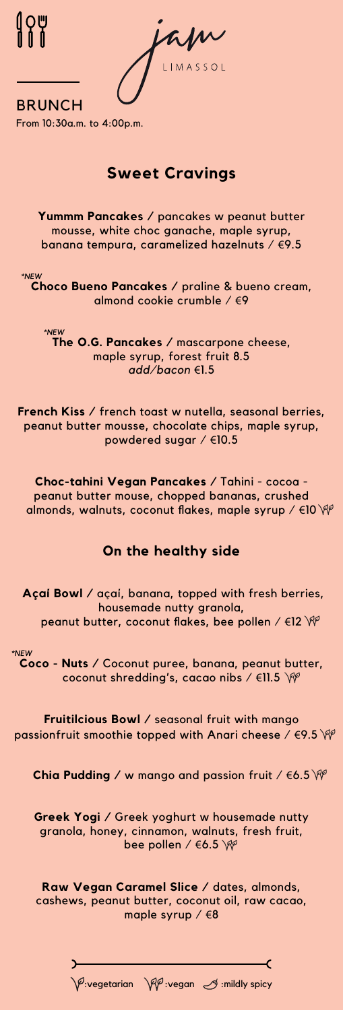| <b>BRUNCH</b><br>From 10:30a.m. to 4:00p.m.                                                                                                                             |
|-------------------------------------------------------------------------------------------------------------------------------------------------------------------------|
| <b>Sweet Cravings</b>                                                                                                                                                   |
| Yummm Pancakes / pancakes w peanut butter<br>mousse, white choc ganache, maple syrup,<br>banana tempura, caramelized hazelnuts / €9.5                                   |
| *NEW<br>Choco Bueno Pancakes / praline & bueno cream,<br>almond cookie crumble $/69$                                                                                    |
| *NEW<br>The O.G. Pancakes / mascarpone cheese,<br>maple syrup, forest fruit 8.5<br>add/bacon €1.5                                                                       |
| <b>French Kiss</b> / french toast w nutella, seasonal berries,<br>peanut butter mousse, chocolate chips, maple syrup,<br>powdered sugar $/$ €10.5                       |
| Choc-tahini Vegan Pancakes / Tahini - cocoa -<br>peanut butter mouse, chopped bananas, crushed<br>almonds, walnuts, coconut flakes, maple syrup / $\in$ 10 $\mathbb{W}$ |
| On the healthy side                                                                                                                                                     |
| Açai Bowl / açai, banana, topped with fresh berries,<br>housemade nutty granola,<br>peanut butter, coconut flakes, bee pollen / $\in$ 12 $\mathcal W$                   |
| *NEW<br>Coco - Nuts / Coconut puree, banana, peanut butter,<br>coconut shredding's, cacao nibs / $\in$ 11.5 \\imes\left\}                                               |

**Fruitilcious Bowl /** seasonal fruit with mango passionfruit smoothie topped with Anari cheese /  $\epsilon$ 9.5 \\rightarrow

**Chia Pudding /** w mango and passion fruit / €6.5

**Greek Yogi /** Greek yoghurt w housemade nutty granola, honey, cinnamon, walnuts, fresh fruit, bee pollen / €6.5

**Raw Vegan Caramel Slice /** dates, almonds, cashews, peanut butter, coconut oil, raw cacao, maple syrup / €8

 $\bigvee \hspace*{-3.5mm} P$ :vegetarian  $\bigvee \hspace*{-3.5mm} P$  :vegan  $\bigcup$  :mildly spicy

 $\rightarrow$ 

 $\overline{\mathbf{C}}$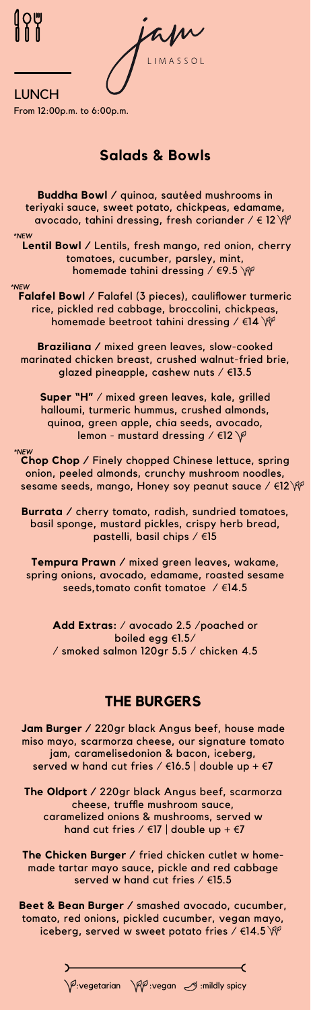LIMASSOL

LUNCH From 12:00p.m. to 6:00p.m.

# **Salads & Bowls**

**Buddha Bowl /** quinoa, sautéed mushrooms in teriyaki sauce, sweet potato, chickpeas, edamame, avocado, tahini dressing, fresh coriander /  $\in$  12  $\mathbb{W}$ 

\*NEW **Lentil Bowl /** Lentils, fresh mango, red onion, cherry tomatoes, cucumber, parsley, mint, homemade tahini dressing /  $\in$ 9.5 $^{\circ}$ 

\*NEW **Falafel Bowl /** Falafel (3 pieces), cauliflower turmeric rice, pickled red cabbage, broccolini, chickpeas, homemade beetroot tahini dressing / €14 \\

**Braziliana /** mixed green leaves, slow-cooked marinated chicken breast, crushed walnut-fried brie, glazed pineapple, cashew nuts / €13.5

**Super "H"** / mixed green leaves, kale, grilled halloumi, turmeric hummus, crushed almonds, quinoa, green apple, chia seeds, avocado, lemon - mustard dressing / €12

\*NEV **Chop Chop /** Finely chopped Chinese lettuce, spring onion, peeled almonds, crunchy mushroom noodles, sesame seeds, mango, Honey soy peanut sauce / €12 \\rm

**Burrata /** cherry tomato, radish, sundried tomatoes, basil sponge, mustard pickles, crispy herb bread, pastelli, basil chips / €15

**Tempura Prawn /** mixed green leaves, wakame, spring onions, avocado, edamame, roasted sesame seeds,tomato confit tomatoe / €14.5

**Add Extras:** / avocado 2.5 /poached or boiled egg €1.5/ / smoked salmon 120gr 5.5 / chicken 4.5

## **THE BURGERS**

**Jam Burger /** 220gr black Angus beef, house made miso mayo, scarmorza cheese, our signature tomato jam, caramelisedonion & bacon, iceberg, served w hand cut fries /  $\in$ 16.5 | double up +  $\in$ 7

**The Oldport /** 220gr black Angus beef, scarmorza cheese, truffle mushroom sauce, caramelized onions & mushrooms, served w hand cut fries /  $\in$ 17 | double up +  $\in$ 7

**The Chicken Burger /** fried chicken cutlet w homemade tartar mayo sauce, pickle and red cabbage served w hand cut fries / €15.5

**Beet & Bean Burger /** smashed avocado, cucumber, tomato, red onions, pickled cucumber, vegan mayo, iceberg, served w sweet potato fries /  $\in$ 14.5

 $\mathcal{I}$